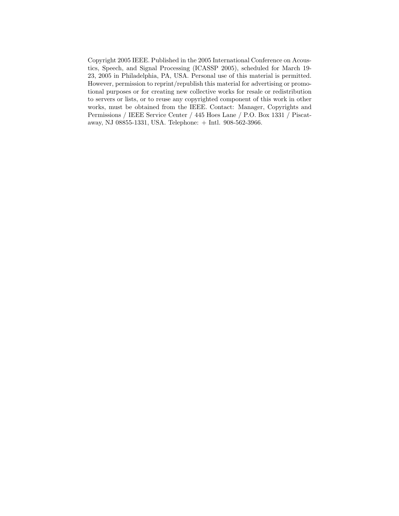Copyright 2005 IEEE. Published in the 2005 International Conference on Acoustics, Speech, and Signal Processing (ICASSP 2005), scheduled for March 19- 23, 2005 in Philadelphia, PA, USA. Personal use of this material is permitted. However, permission to reprint/republish this material for advertising or promotional purposes or for creating new collective works for resale or redistribution to servers or lists, or to reuse any copyrighted component of this work in other works, must be obtained from the IEEE. Contact: Manager, Copyrights and Permissions / IEEE Service Center / 445 Hoes Lane / P.O. Box 1331 / Piscataway, NJ 08855-1331, USA. Telephone: + Intl. 908-562-3966.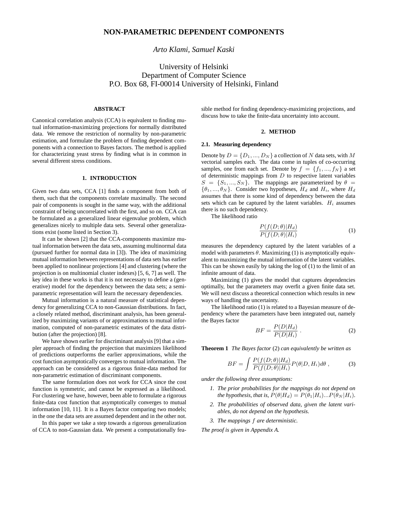## *Arto Klami, Samuel Kaski*

# University of Helsinki Department of Computer Science P.O. Box 68, FI-00014 University of Helsinki, Finland

## **ABSTRACT**

Canonical correlation analysis (CCA) is equivalent to finding mutual information-maximizing projections for normally distributed data. We remove the restriction of normality by non-parametric estimation, and formulate the problem of finding dependent components with a connection to Bayes factors. The method is applied for characterizing yeast stress by finding what is in common in several different stress conditions.

## **1. INTRODUCTION**

Given two data sets, CCA [1] finds a component from both of them, such that the components correlate maximally. The second pair of components is sought in the same way, with the additional constraint of being uncorrelated with the first, and so on. CCA can be formulated as a generalized linear eigenvalue problem, which generalizes nicely to multiple data sets. Several other generalizations exist (some listed in Section 3).

It can be shown [2] that the CCA-components maximize mutual information between the data sets, assuming multinormal data (pursued further for normal data in [3]). The idea of maximizing mutual information between representations of data sets has earlier been applied to nonlinear projections [4] and clustering (where the projection is on multinomial cluster indexes) [5, 6, 7] as well. The key idea in these works is that it is not necessary to define a (generative) model for the dependency between the data sets; a semiparametric representation will learn the necessary dependencies.

Mutual information is a natural measure of statistical dependency for generalizing CCA to non-Gaussian distributions. In fact, a closely related method, discriminant analysis, has been generalized by maximizing variants of or approximations to mutual information, computed of non-parametric estimates of the data distribution (after the projection) [8].

We have shown earlier for discriminant analysis [9] that a simpler approach of finding the projection that maximizes likelihood of predictions outperforms the earlier approximations, while the cost function asymptotically converges to mutual information. The approach can be considered as a rigorous finite-data method for non-parametric estimation of discriminant components.

The same formulation does not work for CCA since the cost function is symmetric, and cannot be expressed as a likelihood. For clustering we have, however, been able to formulate a rigorous finite-data cost function that asymptotically converges to mutual information [10, 11]. It is a Bayes factor comparing two models; in the one the data sets are assumed dependent and in the other not.

In this paper we take a step towards a rigorous generalization of CCA to non-Gaussian data. We present a computationally feasible method for finding dependency-maximizing projections, and discuss how to take the finite-data uncertainty into account.

#### **2. METHOD**

#### **2.1. Measuring dependency**

Denote by  $D = \{D_1, ..., D_N\}$  a collection of N data sets, with M vectorial samples each. The data come in tuples of co-occurring samples, one from each set. Denote by  $f = \{f_1, ..., f_N\}$  a set of deterministic mappings from  $D$  to respective latent variables  $S = \{S_1, ..., S_N\}$ . The mappings are parameterized by  $\theta =$  $\{\theta_1, ..., \theta_N\}$ . Consider two hypotheses,  $H_d$  and  $H_i$ , where  $H_d$ assumes that there is some kind of dependency between the data sets which can be captured by the latent variables.  $H_i$  assumes there is no such dependency.

The likelihood ratio

$$
\frac{P(f(D; \theta)|H_d)}{P(f(D; \theta)|H_i)}\tag{1}
$$

measures the dependency captured by the latent variables of a model with parameters  $\theta$ . Maximizing (1) is asymptotically equivalent to maximizing the mutual information of the latent variables. This can be shown easily by taking the log of (1) to the limit of an infinite amount of data.

Maximizing (1) gives the model that captures dependencies optimally, but the parameters may overfit a given finite data set. We will next discuss a theoretical connection which results in new ways of handling the uncertainty.

The likelihood ratio (1) is related to a Bayesian measure of dependency where the parameters have been integrated out, namely the Bayes factor

$$
BF = \frac{P(D|H_d)}{P(D|H_i)}\,. \tag{2}
$$

**Theorem 1** *The Bayes factor* (2) *can equivalently be written as*

$$
BF = \int \frac{P(f(D; \theta)|H_d)}{P(f(D; \theta)|H_i)} P(\theta|D, H_i) d\theta , \qquad (3)
$$

*under the following three assumptions:*

- *1. The prior probabilities for the mappings do not depend on the hypothesis, that is,*  $P(\theta|H_d) = P(\theta_1|H_i)...P(\theta_N|H_i)$ .
- *2. The probabilities of observed data, given the latent variables, do not depend on the hypothesis.*
- *3. The mappings* f *are deterministic.*

*The proof is given in Appendix A.*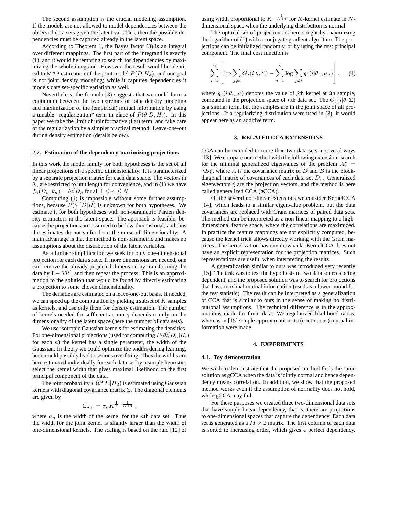The second assumption is the crucial modeling assumption. If the models are not allowed to model dependencies between the observed data sets given the latent variables, then the possible dependencies must be captured already in the latent space.

According to Theorem 1, the Bayes factor (3) is an integral over different mappings. The first part of the integrand is exactly (1), and it would be tempting to search for dependencies by maximizing the whole integrand. However, the result would be identical to MAP estimation of the joint model  $P(D|H_d)$ , and our goal is not joint density modeling; while it captures dependencies it models data set-specific variation as well.

Nevertheless, the formula (3) suggests that we could form a continuum between the two extremes of joint density modeling and maximization of the (empirical) mutual information by using a tunable "regularization" term in place of  $P(\theta|D, H_i)$ . In this paper we take the limit of uninformative (flat) term, and take care of the regularization by a simpler practical method: Leave-one-out during density estimation (details below).

#### **2.2. Estimation of the dependency-maximizing projections**

In this work the model family for both hypotheses is the set of all linear projections of a specific dimensionality. It is parameterized by a separate projection matrix for each data space. The vectors in  $\theta_n$  are restricted to unit length for convenience, and in (1) we have  $f_n(D_n; \theta_n) = \theta_n^T D_n$  for all  $1 \le n \le N$ .

Computing (1) is impossible without some further assumptions, because  $P(\theta^T D | H)$  is unknown for both hypotheses. We estimate it for both hypotheses with non-parametric Parzen density estimators in the latent space. The approach is feasible, because the projections are assumed to be low-dimensional, and thus the estimates do not suffer from the curse of dimensionality. A main advantage is that the method is non-parametric and makes no assumptions about the distribution of the latent variables.

As a further simplification we seek for only one-dimensional projection for each data space. If more dimensions are needed, one can remove the already projected dimension by transforming the data by  $I - \theta \theta^T$ , and then repeat the process. This is an approximation to the solution that would be found by directly estimating a projection to some chosen dimensionality.

The densities are estimated on a leave-one-out basis. If needed, we can speed up the computation by picking a subset of  $K$  samples as kernels, and use only them for density estimation. The number of kernels needed for sufficient accuracy depends mainly on the dimensionality of the latent space (here the number of data sets).

We use isotropic Gaussian kernels for estimating the densities. For one-dimensional projections (used for computing  $P(\theta_n^T D_n|H_i)$ for each  $n$ ) the kernel has a single parameter, the width of the Gaussian. In theory we could optimize the widths during learning, but it could possibly lead to serious overfitting. Thus the widths are here estimated individually for each data set by a simple heuristic: select the kernel width that gives maximal likelihood on the first principal component of the data.

The joint probability  $P(\theta^T D | H_d)$  is estimated using Gaussian kernels with diagonal covariance matrix  $\Sigma$ . The diagonal elements are given by

$$
\Sigma_{n,n} = \sigma_n K^{\frac{1}{5} - \frac{1}{N+4}},
$$

where  $\sigma_n$  is the width of the kernel for the *n*th data set. Thus the width for the joint kernel is slightly larger than the width of one-dimensional kernels. The scaling is based on the rule [12] of

using width proportional to  $K^{-\frac{1}{N+4}}$  for K-kernel estimate in Ndimensional space when the underlying distribution is normal.

The optimal set of projections is here sought by maximizing the logarithm of (1) with a conjugate gradient algorithm. The projections can be initialized randomly, or by using the first principal component. The final cost function is

$$
\sum_{i=1}^{M} \left[ \log \sum_{j \neq i} G_j(i|\theta, \Sigma) - \sum_{n=1}^{N} \log \sum_{j \neq i} g_j(i|\theta_n, \sigma_n) \right], \quad (4)
$$

where  $g_j(i|\theta_n, \sigma)$  denotes the value of jth kernel at ith sample, computed in the projection space of *n*th data set. The  $G_i(i|\theta, \Sigma)$ is a similar term, but the samples are in the joint space of all projections. If a regularizing distribution were used in (3), it would appear here as an additive term.

#### **3. RELATED CCA EXTENSIONS**

CCA can be extended to more than two data sets in several ways [13]. We compare our method with the following extension: search for the minimal generalized eigenvalues of the problem  $A\xi =$  $\lambda B \xi$ , where A is the covariance matrix of D and B is the blockdiagonal matrix of covariances of each data set  $D_n$ . Generalized eigenvectors  $\xi$  are the projection vectors, and the method is here called generalized CCA (gCCA).

Of the several non-linear extensions we consider KernelCCA [14], which leads to a similar eigenvalue problem, but the data covariances are replaced with Gram matrices of paired data sets. The method can be interpreted as a non-linear mapping to a highdimensional feature space, where the correlations are maximized. In practice the feature mappings are not explicitly computed, because the kernel trick allows directly working with the Gram matrices. The kernelization has one drawback: KernelCCA does not have an explicit representation for the projection matrices. Such representations are useful when interpreting the results.

A generalization similar to ours was introduced very recently [15]. The task was to test the hypothesis of two data sources being dependent, and the proposed solution was to search for projections that have maximal mutual information (used as a lower bound for the test statistic). The result can be interpreted as a generalization of CCA that is similar to ours in the sense of making no distributional assumptions. The technical difference is in the approximations made for finite data: We regularized likelihood ratios, whereas in [15] simple approximations to (continuous) mutual information were made.

## **4. EXPERIMENTS**

#### **4.1. Toy demonstration**

We wish to demonstrate that the proposed method finds the same solution as gCCA when the data is jointly normal and hence dependency means correlation. In addition, we show that the proposed method works even if the assumption of normality does not hold, while gCCA may fail.

For these purposes we created three two-dimensional data sets that have simple linear dependency, that is, there are projections to one-dimensional spaces that capture the dependency. Each data set is generated as a  $M \times 2$  matrix. The first column of each data is sorted to increasing order, which gives a perfect dependency.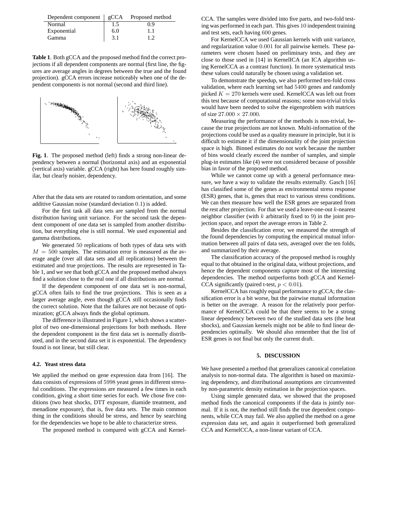| Dependent component $ $ gCCA |     | Proposed method |
|------------------------------|-----|-----------------|
| Normal                       | 1.5 | 0.9             |
| Exponential                  | 6.0 | 1.1             |
| Gamma                        | 3.1 |                 |

**Table 1**. Both gCCA and the proposed method find the correct projections if all dependent components are normal (first line, the figures are average angles in degrees between the true and the found projection). gCCA errors increase noticeably when one of the dependent components is not normal (second and third line).



**Fig. 1**. The proposed method (left) finds a strong non-linear dependency between a normal (horizontal axis) and an exponential (vertical axis) variable. gCCA (right) has here found roughly similar, but clearly noisier, dependency.

After that the data sets are rotated to random orientation, and some additive Gaussian noise (standard deviation 0.1) is added.

For the first task all data sets are sampled from the normal distribution having unit variance. For the second task the dependent component of one data set is sampled from another distribution, but everything else is still normal. We used exponential and gamma distributions.

We generated 50 replications of both types of data sets with  $M = 500$  samples. The estimation error is measured as the average angle (over all data sets and all replications) between the estimated and true projections. The results are represented in Table 1, and we see that both gCCA and the proposed method always find a solution close to the real one if all distributions are normal.

If the dependent component of one data set is non-normal, gCCA often fails to find the true projections. This is seen as a larger average angle, even though gCCA still occasionally finds the correct solution. Note that the failures are not because of optimization; gCCA always finds the global optimum.

The difference is illustrated in Figure 1, which shows a scatterplot of two one-dimensional projections for both methods. Here the dependent component in the first data set is normally distributed, and in the second data set it is exponential. The dependency found is not linear, but still clear.

## **4.2. Yeast stress data**

We applied the method on gene expression data from [16]. The data consists of expressions of 5998 yeast genes in different stressful conditions. The expressions are measured a few times in each condition, giving a short time series for each. We chose five conditions (two heat shocks, DTT exposure, diamide treatment, and menadione exposure), that is, five data sets. The main common thing in the conditions should be stress, and hence by searching for the dependencies we hope to be able to characterize stress.

The proposed method is compared with gCCA and Kernel-

CCA. The samples were divided into five parts, and two-fold testing was performed in each part. This gives 10 independent training and test sets, each having 600 genes.

For KernelCCA we used Gaussian kernels with unit variance, and regularization value 0.001 for all pairwise kernels. These parameters were chosen based on preliminary tests, and they are close to those used in [14] in KernelICA (an ICA algorithm using KernelCCA as a contrast function). In more systematical tests these values could naturally be chosen using a validation set.

To demonstrate the speedup, we also performed ten-fold cross validation, where each learning set had 5400 genes and randomly picked  $K = 270$  kernels were used. KernelCCA was left out from this test because of computational reasons; some non-trivial tricks would have been needed to solve the eigenproblem with matrices of size  $27.000 \times 27.000$ .

Measuring the performance of the methods is non-trivial, because the true projections are not known. Multi-information of the projections could be used as a quality measure in principle, but it is difficult to estimate it if the dimensionality of the joint projection space is high. Binned estimates do not work because the number of bins would clearly exceed the number of samples, and simple plug-in estimates like (4) were not considered because of possible bias in favor of the proposed method.

While we cannot come up with a general performance measure, we have a way to validate the results externally. Gasch [16] has classified some of the genes as environmental stress response (ESR) genes, that is, genes that react to various stress conditions. We can then measure how well the ESR genes are separated from the rest after projection. For that we used a leave-one-out  $k$ -nearest neighbor classifier (with  $k$  arbitrarily fixed to 9) in the joint projection space, and report the average errors in Table 2.

Besides the classification error, we measured the strength of the found dependencies by computing the empirical mutual information between all pairs of data sets, averaged over the ten folds, and summarized by their average.

The classification accuracy of the proposed method is roughly equal to that obtained in the original data, without projections, and hence the dependent components capture most of the interesting dependencies. The method outperforms both gCCA and Kernel-CCA significantly (paired t-test,  $p < 0.01$ ).

KernelCCA has roughly equal performance to gCCA; the classification error is a bit worse, but the pairwise mutual information is better on the average. A reason for the relatively poor performance of KernelCCA could be that there seems to be a strong linear dependency between two of the studied data sets (the heat shocks), and Gaussian kernels might not be able to find linear dependencies optimally. We should also remember that the list of ESR genes is not final but only the current draft.

#### **5. DISCUSSION**

We have presented a method that generalizes canonical correlation analysis to non-normal data. The algorithm is based on maximizing dependency, and distributional assumptions are circumvented by non-parametric density estimation in the projection spaces.

Using simple generated data, we showed that the proposed method finds the canonical components if the data is jointly normal. If it is not, the method still finds the true dependent components, while CCA may fail. We also applied the method on a gene expression data set, and again it outperformed both generalized CCA and KernelCCA, a non-linear variant of CCA.